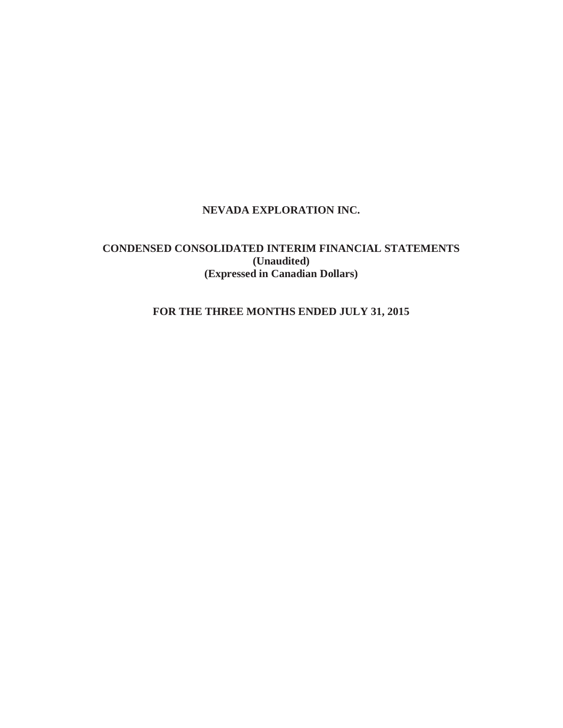# **NEVADA EXPLORATION INC.**

# **CONDENSED CONSOLIDATED INTERIM FINANCIAL STATEMENTS (Unaudited) (Expressed in Canadian Dollars)**

# **FOR THE THREE MONTHS ENDED JULY 31, 2015**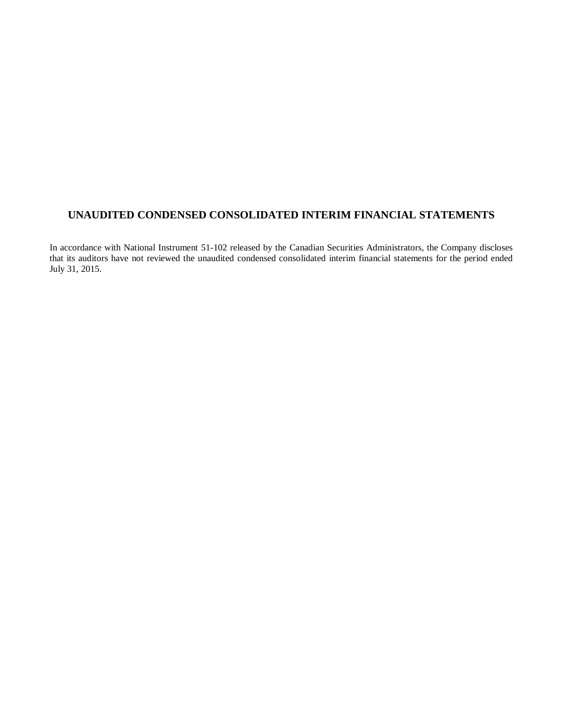# **UNAUDITED CONDENSED CONSOLIDATED INTERIM FINANCIAL STATEMENTS**

In accordance with National Instrument 51-102 released by the Canadian Securities Administrators, the Company discloses that its auditors have not reviewed the unaudited condensed consolidated interim financial statements for the period ended July 31, 2015.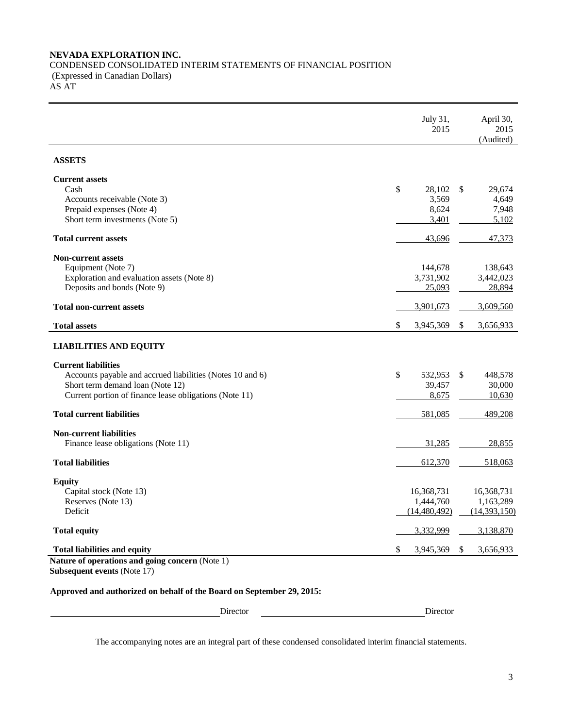### **NEVADA EXPLORATION INC.** CONDENSED CONSOLIDATED INTERIM STATEMENTS OF FINANCIAL POSITION (Expressed in Canadian Dollars) AS AT

|                                                                                            | July 31,<br>2015            | April 30,<br>2015<br>(Audited) |
|--------------------------------------------------------------------------------------------|-----------------------------|--------------------------------|
| <b>ASSETS</b>                                                                              |                             |                                |
| <b>Current assets</b>                                                                      |                             |                                |
| Cash                                                                                       | \$<br>28,102                | \$<br>29,674                   |
| Accounts receivable (Note 3)<br>Prepaid expenses (Note 4)                                  | 3,569<br>8,624              | 4.649<br>7,948                 |
| Short term investments (Note 5)                                                            | 3,401                       | 5,102                          |
| <b>Total current assets</b>                                                                | 43,696                      | 47,373                         |
| <b>Non-current assets</b>                                                                  |                             |                                |
| Equipment (Note 7)                                                                         | 144,678                     | 138,643                        |
| Exploration and evaluation assets (Note 8)<br>Deposits and bonds (Note 9)                  | 3,731,902<br>25,093         | 3,442,023<br>28,894            |
|                                                                                            |                             |                                |
| <b>Total non-current assets</b>                                                            | 3,901,673                   | 3,609,560                      |
| <b>Total assets</b>                                                                        | \$<br>3,945,369             | 3,656,933<br><sup>\$</sup>     |
| <b>LIABILITIES AND EQUITY</b>                                                              |                             |                                |
| <b>Current liabilities</b>                                                                 |                             |                                |
| Accounts payable and accrued liabilities (Notes 10 and 6)                                  | \$<br>532,953               | 448,578<br><sup>\$</sup>       |
| Short term demand loan (Note 12)<br>Current portion of finance lease obligations (Note 11) | 39,457<br>8,675             | 30,000<br>10,630               |
|                                                                                            |                             |                                |
| <b>Total current liabilities</b>                                                           | 581,085                     | 489,208                        |
| <b>Non-current liabilities</b>                                                             |                             |                                |
| Finance lease obligations (Note 11)                                                        | 31,285                      | 28,855                         |
| <b>Total liabilities</b>                                                                   | 612,370                     | 518,063                        |
| <b>Equity</b>                                                                              |                             |                                |
| Capital stock (Note 13)                                                                    | 16,368,731                  | 16,368,731                     |
| Reserves (Note 13)<br>Deficit                                                              | 1,444,760<br>(14, 480, 492) | 1,163,289<br>(14,393,150)      |
|                                                                                            |                             |                                |
| <b>Total equity</b>                                                                        | 3,332,999                   | 3,138,870                      |
| <b>Total liabilities and equity</b>                                                        | 3,945,369<br>S              | 3,656,933<br>\$                |
| Nature of operations and going concern (Note 1)                                            |                             |                                |
| <b>Subsequent events (Note 17)</b>                                                         |                             |                                |

# **Approved and authorized on behalf of the Board on September 29, 2015:**

| Director |  |
|----------|--|
|          |  |

Director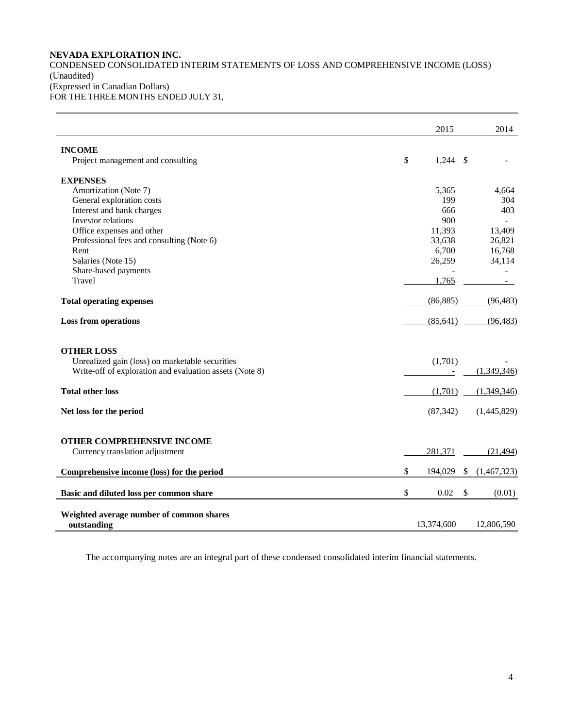# **NEVADA EXPLORATION INC.**

CONDENSED CONSOLIDATED INTERIM STATEMENTS OF LOSS AND COMPREHENSIVE INCOME (LOSS) (Unaudited) (Expressed in Canadian Dollars) FOR THE THREE MONTHS ENDED JULY 31,

|                                                         | 2015             | 2014              |
|---------------------------------------------------------|------------------|-------------------|
| <b>INCOME</b>                                           |                  |                   |
| Project management and consulting                       | \$<br>$1,244$ \$ |                   |
| <b>EXPENSES</b>                                         |                  |                   |
| Amortization (Note 7)                                   | 5,365            | 4,664             |
| General exploration costs                               | 199              | 304               |
| Interest and bank charges                               | 666              | 403               |
| Investor relations                                      | 900              | $\sim$            |
| Office expenses and other                               | 11,393           | 13,409            |
| Professional fees and consulting (Note 6)               | 33,638           | 26,821            |
| Rent                                                    | 6,700            | 16,768            |
| Salaries (Note 15)                                      | 26,259           | 34,114            |
| Share-based payments                                    |                  |                   |
| Travel                                                  | 1,765            |                   |
| <b>Total operating expenses</b>                         | (86, 885)        | (96, 483)         |
| <b>Loss from operations</b>                             | (85, 641)        | (96, 483)         |
| <b>OTHER LOSS</b>                                       |                  |                   |
| Unrealized gain (loss) on marketable securities         | (1,701)          |                   |
| Write-off of exploration and evaluation assets (Note 8) |                  | (1,349,346)       |
| <b>Total other loss</b>                                 | (1,701)          | (1,349,346)       |
| Net loss for the period                                 | (87, 342)        | (1,445,829)       |
| OTHER COMPREHENSIVE INCOME                              |                  |                   |
| Currency translation adjustment                         | 281,371          | (21, 494)         |
| Comprehensive income (loss) for the period              | \$<br>194,029    | \$<br>(1,467,323) |
| Basic and diluted loss per common share                 | \$<br>0.02       | \$<br>(0.01)      |
| Weighted average number of common shares<br>outstanding | 13,374,600       | 12,806,590        |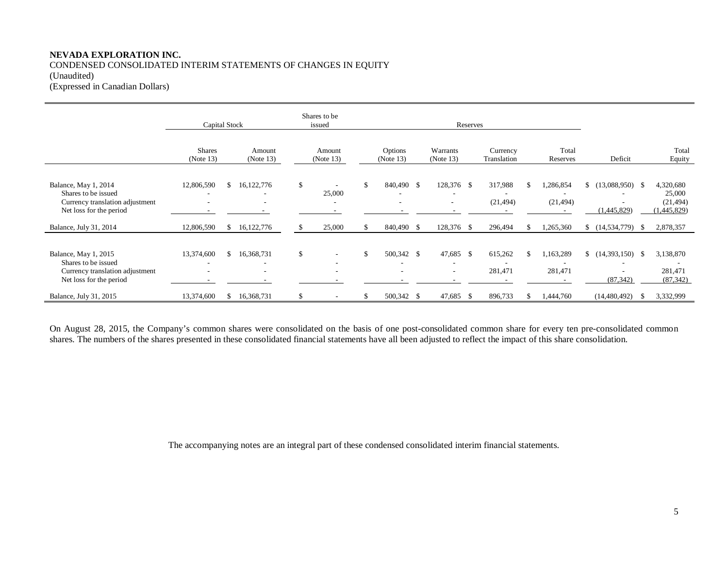# **NEVADA EXPLORATION INC.** CONDENSED CONSOLIDATED INTERIM STATEMENTS OF CHANGES IN EQUITY (Unaudited)

(Expressed in Canadian Dollars)

|                                                                                                           | Capital Stock              |     |                     |               | Shares to be<br>issued | Reserves |                      |  |                                       |  |                         |                        |                                   |   |                                                 |
|-----------------------------------------------------------------------------------------------------------|----------------------------|-----|---------------------|---------------|------------------------|----------|----------------------|--|---------------------------------------|--|-------------------------|------------------------|-----------------------------------|---|-------------------------------------------------|
|                                                                                                           | <b>Shares</b><br>(Note 13) |     | Amount<br>(Note 13) |               | Amount<br>(Note 13)    |          | Options<br>(Note 13) |  | Warrants<br>(Note 13)                 |  | Currency<br>Translation | Total<br>Reserves      | Deficit                           |   | Total<br>Equity                                 |
| Balance, May 1, 2014<br>Shares to be issued<br>Currency translation adjustment<br>Net loss for the period | 12,806,590                 | \$. | 16,122,776          | $\mathbf{\$}$ | 25,000                 | \$       | 840,490 \$           |  | 128,376 \$<br>٠                       |  | 317,988<br>(21, 494)    | 1,286,854<br>(21, 494) | $$(13,088,950)$ \;<br>(1,445,829) |   | 4,320,680<br>25,000<br>(21, 494)<br>(1,445,829) |
| Balance, July 31, 2014                                                                                    | 12,806,590                 | \$. | 16,122,776          |               | 25,000                 |          | 840,490 \$           |  | 128,376 \$                            |  | 296,494                 | 1,265,360              | $$(14,534,779)$ \\$               |   | 2,878,357                                       |
| Balance, May 1, 2015<br>Shares to be issued<br>Currency translation adjustment<br>Net loss for the period | 13,374,600                 | S.  | 16,368,731          | \$            |                        |          | 500,342 \$<br>٠      |  | 47,685 \$<br>$\overline{\phantom{a}}$ |  | 615,262<br>281,471      | 1,163,289<br>281,471   | $$(14,393,150)$ \\$<br>(87, 342)  |   | 3,138,870<br>281,471<br>(87, 342)               |
| Balance, July 31, 2015                                                                                    | 13,374,600                 | \$  | 16,368,731          | \$            |                        | \$       | 500,342 \$           |  | 47,685 \$                             |  | 896,733                 | 1,444,760              | (14, 480, 492)                    | S | 3,332,999                                       |

On August 28, 2015, the Company's common shares were consolidated on the basis of one post-consolidated common share for every ten pre-consolidated common shares. The numbers of the shares presented in these consolidated financial statements have all been adjusted to reflect the impact of this share consolidation.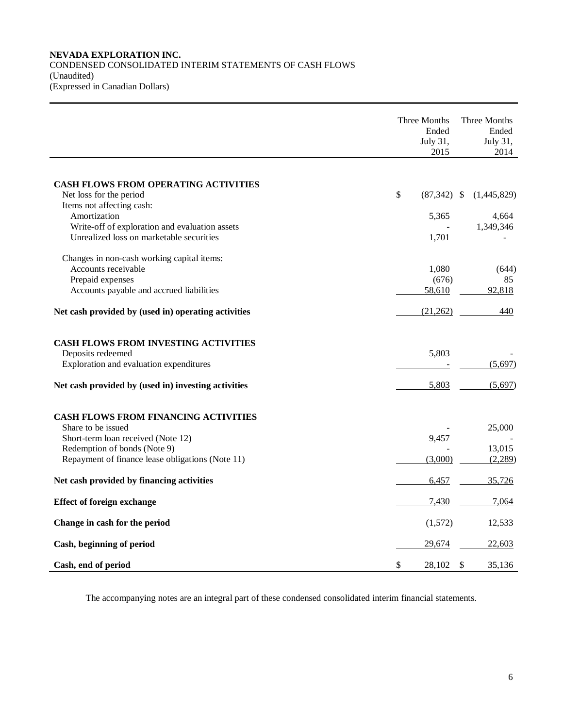### **NEVADA EXPLORATION INC.** CONDENSED CONSOLIDATED INTERIM STATEMENTS OF CASH FLOWS (Unaudited) (Expressed in Canadian Dollars)

|                                                                                             | Three Months<br>Ended<br>July 31,<br>2015 | Three Months<br>Ended<br>July 31,<br>2014 |
|---------------------------------------------------------------------------------------------|-------------------------------------------|-------------------------------------------|
|                                                                                             |                                           |                                           |
| <b>CASH FLOWS FROM OPERATING ACTIVITIES</b><br>Net loss for the period                      | \$<br>$(87,342)$ \$                       | (1,445,829)                               |
| Items not affecting cash:<br>Amortization<br>Write-off of exploration and evaluation assets | 5,365                                     | 4,664<br>1,349,346                        |
| Unrealized loss on marketable securities                                                    | 1,701                                     |                                           |
| Changes in non-cash working capital items:                                                  |                                           |                                           |
| Accounts receivable                                                                         | 1,080                                     | (644)                                     |
| Prepaid expenses                                                                            | (676)                                     | 85                                        |
| Accounts payable and accrued liabilities                                                    | 58,610                                    | 92,818                                    |
| Net cash provided by (used in) operating activities                                         | (21,262)                                  | 440                                       |
| <b>CASH FLOWS FROM INVESTING ACTIVITIES</b>                                                 |                                           |                                           |
| Deposits redeemed                                                                           | 5,803                                     |                                           |
| Exploration and evaluation expenditures                                                     |                                           | (5,697)                                   |
|                                                                                             |                                           |                                           |
| Net cash provided by (used in) investing activities                                         | 5,803                                     | (5,697)                                   |
| CASH FLOWS FROM FINANCING ACTIVITIES                                                        |                                           |                                           |
| Share to be issued                                                                          |                                           | 25,000                                    |
| Short-term loan received (Note 12)                                                          | 9,457                                     |                                           |
| Redemption of bonds (Note 9)                                                                |                                           | 13,015                                    |
| Repayment of finance lease obligations (Note 11)                                            | (3,000)                                   | (2,289)                                   |
| Net cash provided by financing activities                                                   | 6,457                                     | 35,726                                    |
| <b>Effect of foreign exchange</b>                                                           | 7,430                                     | 7,064                                     |
| Change in cash for the period                                                               | (1,572)                                   | 12,533                                    |
| Cash, beginning of period                                                                   | 29,674                                    | 22,603                                    |
| Cash, end of period                                                                         | \$<br>28,102                              | \$<br>35,136                              |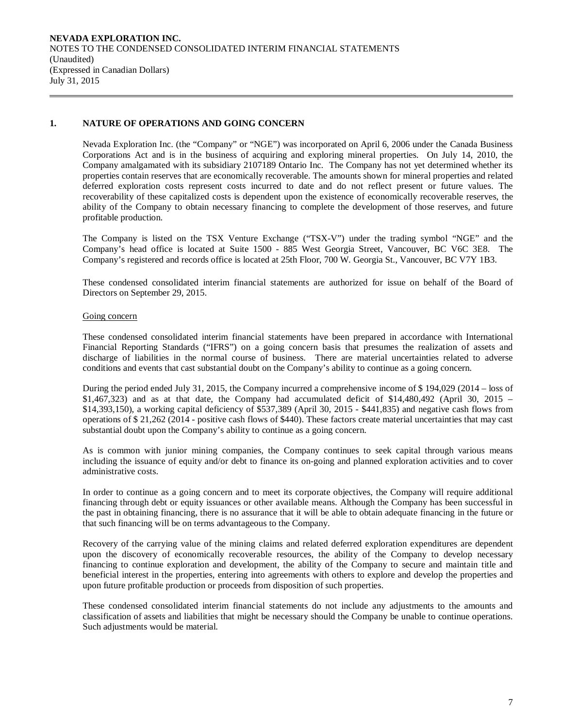**NEVADA EXPLORATION INC.**  NOTES TO THE CONDENSED CONSOLIDATED INTERIM FINANCIAL STATEMENTS (Unaudited) (Expressed in Canadian Dollars) July 31, 2015

### **1. NATURE OF OPERATIONS AND GOING CONCERN**

Nevada Exploration Inc. (the "Company" or "NGE") was incorporated on April 6, 2006 under the Canada Business Corporations Act and is in the business of acquiring and exploring mineral properties. On July 14, 2010, the Company amalgamated with its subsidiary 2107189 Ontario Inc. The Company has not yet determined whether its properties contain reserves that are economically recoverable. The amounts shown for mineral properties and related deferred exploration costs represent costs incurred to date and do not reflect present or future values. The recoverability of these capitalized costs is dependent upon the existence of economically recoverable reserves, the ability of the Company to obtain necessary financing to complete the development of those reserves, and future profitable production.

The Company is listed on the TSX Venture Exchange ("TSX-V") under the trading symbol "NGE" and the Company's head office is located at Suite 1500 - 885 West Georgia Street, Vancouver, BC V6C 3E8. The Company's registered and records office is located at 25th Floor, 700 W. Georgia St., Vancouver, BC V7Y 1B3.

These condensed consolidated interim financial statements are authorized for issue on behalf of the Board of Directors on September 29, 2015.

### Going concern

These condensed consolidated interim financial statements have been prepared in accordance with International Financial Reporting Standards ("IFRS") on a going concern basis that presumes the realization of assets and discharge of liabilities in the normal course of business. There are material uncertainties related to adverse conditions and events that cast substantial doubt on the Company's ability to continue as a going concern.

During the period ended July 31, 2015, the Company incurred a comprehensive income of \$ 194,029 (2014 – loss of  $$1,467,323)$  and as at that date, the Company had accumulated deficit of  $$14,480,492$  (April 30, 2015 – \$14,393,150), a working capital deficiency of \$537,389 (April 30, 2015 - \$441,835) and negative cash flows from operations of \$ 21,262 (2014 - positive cash flows of \$440). These factors create material uncertainties that may cast substantial doubt upon the Company's ability to continue as a going concern.

As is common with junior mining companies, the Company continues to seek capital through various means including the issuance of equity and/or debt to finance its on-going and planned exploration activities and to cover administrative costs.

In order to continue as a going concern and to meet its corporate objectives, the Company will require additional financing through debt or equity issuances or other available means. Although the Company has been successful in the past in obtaining financing, there is no assurance that it will be able to obtain adequate financing in the future or that such financing will be on terms advantageous to the Company.

Recovery of the carrying value of the mining claims and related deferred exploration expenditures are dependent upon the discovery of economically recoverable resources, the ability of the Company to develop necessary financing to continue exploration and development, the ability of the Company to secure and maintain title and beneficial interest in the properties, entering into agreements with others to explore and develop the properties and upon future profitable production or proceeds from disposition of such properties.

These condensed consolidated interim financial statements do not include any adjustments to the amounts and classification of assets and liabilities that might be necessary should the Company be unable to continue operations. Such adjustments would be material.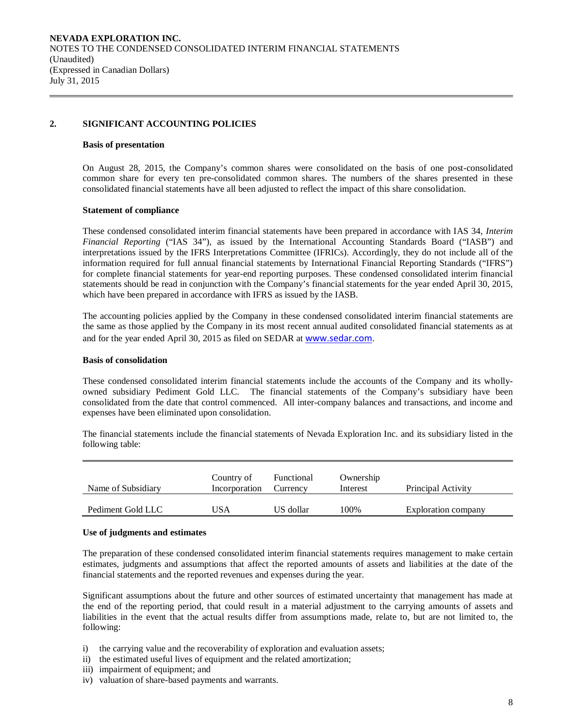### **2. SIGNIFICANT ACCOUNTING POLICIES**

#### **Basis of presentation**

On August 28, 2015, the Company's common shares were consolidated on the basis of one post-consolidated common share for every ten pre-consolidated common shares. The numbers of the shares presented in these consolidated financial statements have all been adjusted to reflect the impact of this share consolidation.

### **Statement of compliance**

These condensed consolidated interim financial statements have been prepared in accordance with IAS 34, *Interim Financial Reporting* ("IAS 34"), as issued by the International Accounting Standards Board ("IASB") and interpretations issued by the IFRS Interpretations Committee (IFRICs). Accordingly, they do not include all of the information required for full annual financial statements by International Financial Reporting Standards ("IFRS") for complete financial statements for year-end reporting purposes. These condensed consolidated interim financial statements should be read in conjunction with the Company's financial statements for the year ended April 30, 2015, which have been prepared in accordance with IFRS as issued by the IASB.

The accounting policies applied by the Company in these condensed consolidated interim financial statements are the same as those applied by the Company in its most recent annual audited consolidated financial statements as at and for the year ended April 30, 2015 as filed on SEDAR at [www.sedar.com](http://www.sedar.com/).

### **Basis of consolidation**

These condensed consolidated interim financial statements include the accounts of the Company and its whollyowned subsidiary Pediment Gold LLC. The financial statements of the Company's subsidiary have been consolidated from the date that control commenced. All inter-company balances and transactions, and income and expenses have been eliminated upon consolidation.

The financial statements include the financial statements of Nevada Exploration Inc. and its subsidiary listed in the following table:

| Name of Subsidiary | Country of<br>Incorporation | Functional<br>Currency | Ownership<br>Interest | Principal Activity         |
|--------------------|-----------------------------|------------------------|-----------------------|----------------------------|
| Pediment Gold LLC  | USA                         | US dollar              | 100%                  | <b>Exploration company</b> |

#### **Use of judgments and estimates**

The preparation of these condensed consolidated interim financial statements requires management to make certain estimates, judgments and assumptions that affect the reported amounts of assets and liabilities at the date of the financial statements and the reported revenues and expenses during the year.

Significant assumptions about the future and other sources of estimated uncertainty that management has made at the end of the reporting period, that could result in a material adjustment to the carrying amounts of assets and liabilities in the event that the actual results differ from assumptions made, relate to, but are not limited to, the following:

- i) the carrying value and the recoverability of exploration and evaluation assets;
- ii) the estimated useful lives of equipment and the related amortization;
- iii) impairment of equipment; and
- iv) valuation of share-based payments and warrants.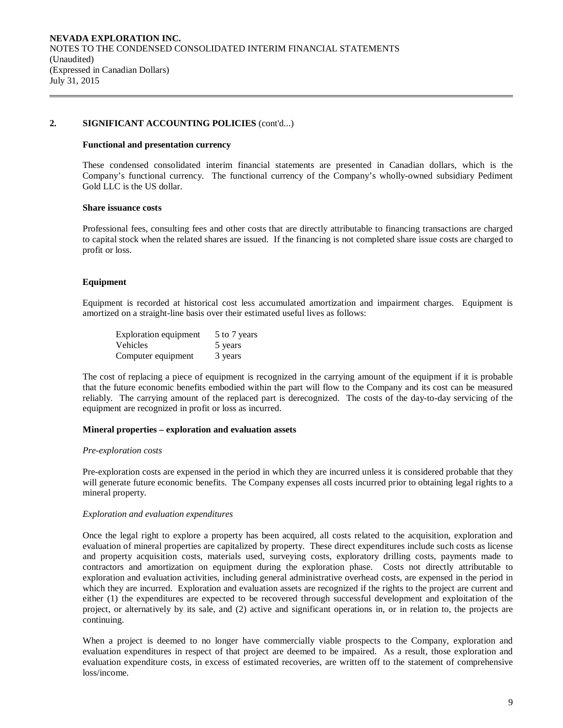#### **Functional and presentation currency**

These condensed consolidated interim financial statements are presented in Canadian dollars, which is the Company's functional currency. The functional currency of the Company's wholly-owned subsidiary Pediment Gold LLC is the US dollar.

### **Share issuance costs**

Professional fees, consulting fees and other costs that are directly attributable to financing transactions are charged to capital stock when the related shares are issued. If the financing is not completed share issue costs are charged to profit or loss.

### **Equipment**

Equipment is recorded at historical cost less accumulated amortization and impairment charges. Equipment is amortized on a straight-line basis over their estimated useful lives as follows:

| <b>Exploration equipment</b> | 5 to 7 years |
|------------------------------|--------------|
| <b>Vehicles</b>              | 5 years      |
| Computer equipment           | 3 years      |

The cost of replacing a piece of equipment is recognized in the carrying amount of the equipment if it is probable that the future economic benefits embodied within the part will flow to the Company and its cost can be measured reliably. The carrying amount of the replaced part is derecognized. The costs of the day-to-day servicing of the equipment are recognized in profit or loss as incurred.

### **Mineral properties – exploration and evaluation assets**

#### *Pre-exploration costs*

Pre-exploration costs are expensed in the period in which they are incurred unless it is considered probable that they will generate future economic benefits. The Company expenses all costs incurred prior to obtaining legal rights to a mineral property.

### *Exploration and evaluation expenditures*

Once the legal right to explore a property has been acquired, all costs related to the acquisition, exploration and evaluation of mineral properties are capitalized by property. These direct expenditures include such costs as license and property acquisition costs, materials used, surveying costs, exploratory drilling costs, payments made to contractors and amortization on equipment during the exploration phase. Costs not directly attributable to exploration and evaluation activities, including general administrative overhead costs, are expensed in the period in which they are incurred. Exploration and evaluation assets are recognized if the rights to the project are current and either (1) the expenditures are expected to be recovered through successful development and exploitation of the project, or alternatively by its sale, and (2) active and significant operations in, or in relation to, the projects are continuing.

When a project is deemed to no longer have commercially viable prospects to the Company, exploration and evaluation expenditures in respect of that project are deemed to be impaired. As a result, those exploration and evaluation expenditure costs, in excess of estimated recoveries, are written off to the statement of comprehensive loss/income.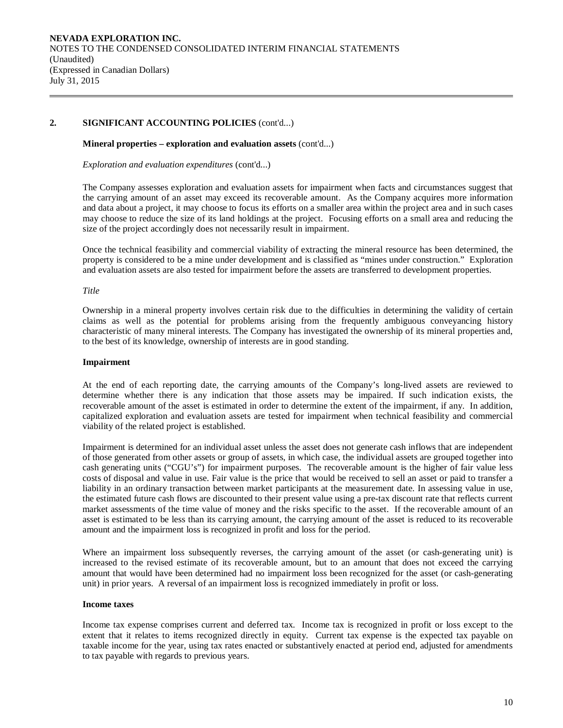#### **Mineral properties – exploration and evaluation assets** (cont'd...)

*Exploration and evaluation expenditures* (cont'd...)

The Company assesses exploration and evaluation assets for impairment when facts and circumstances suggest that the carrying amount of an asset may exceed its recoverable amount. As the Company acquires more information and data about a project, it may choose to focus its efforts on a smaller area within the project area and in such cases may choose to reduce the size of its land holdings at the project. Focusing efforts on a small area and reducing the size of the project accordingly does not necessarily result in impairment.

Once the technical feasibility and commercial viability of extracting the mineral resource has been determined, the property is considered to be a mine under development and is classified as "mines under construction." Exploration and evaluation assets are also tested for impairment before the assets are transferred to development properties.

#### *Title*

Ownership in a mineral property involves certain risk due to the difficulties in determining the validity of certain claims as well as the potential for problems arising from the frequently ambiguous conveyancing history characteristic of many mineral interests. The Company has investigated the ownership of its mineral properties and, to the best of its knowledge, ownership of interests are in good standing.

#### **Impairment**

At the end of each reporting date, the carrying amounts of the Company's long-lived assets are reviewed to determine whether there is any indication that those assets may be impaired. If such indication exists, the recoverable amount of the asset is estimated in order to determine the extent of the impairment, if any. In addition, capitalized exploration and evaluation assets are tested for impairment when technical feasibility and commercial viability of the related project is established.

Impairment is determined for an individual asset unless the asset does not generate cash inflows that are independent of those generated from other assets or group of assets, in which case, the individual assets are grouped together into cash generating units ("CGU's") for impairment purposes. The recoverable amount is the higher of fair value less costs of disposal and value in use. Fair value is the price that would be received to sell an asset or paid to transfer a liability in an ordinary transaction between market participants at the measurement date. In assessing value in use, the estimated future cash flows are discounted to their present value using a pre-tax discount rate that reflects current market assessments of the time value of money and the risks specific to the asset. If the recoverable amount of an asset is estimated to be less than its carrying amount, the carrying amount of the asset is reduced to its recoverable amount and the impairment loss is recognized in profit and loss for the period.

Where an impairment loss subsequently reverses, the carrying amount of the asset (or cash-generating unit) is increased to the revised estimate of its recoverable amount, but to an amount that does not exceed the carrying amount that would have been determined had no impairment loss been recognized for the asset (or cash-generating unit) in prior years. A reversal of an impairment loss is recognized immediately in profit or loss.

#### **Income taxes**

Income tax expense comprises current and deferred tax. Income tax is recognized in profit or loss except to the extent that it relates to items recognized directly in equity. Current tax expense is the expected tax payable on taxable income for the year, using tax rates enacted or substantively enacted at period end, adjusted for amendments to tax payable with regards to previous years.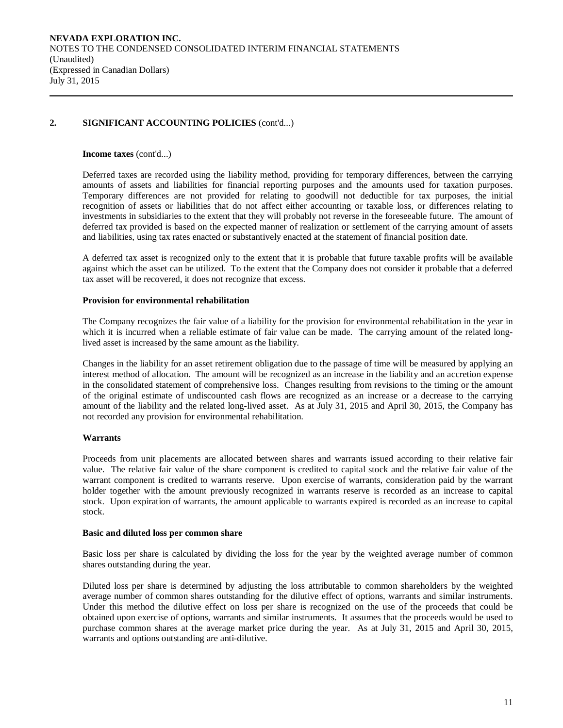### **Income taxes** (cont'd...)

Deferred taxes are recorded using the liability method, providing for temporary differences, between the carrying amounts of assets and liabilities for financial reporting purposes and the amounts used for taxation purposes. Temporary differences are not provided for relating to goodwill not deductible for tax purposes, the initial recognition of assets or liabilities that do not affect either accounting or taxable loss, or differences relating to investments in subsidiaries to the extent that they will probably not reverse in the foreseeable future. The amount of deferred tax provided is based on the expected manner of realization or settlement of the carrying amount of assets and liabilities, using tax rates enacted or substantively enacted at the statement of financial position date.

A deferred tax asset is recognized only to the extent that it is probable that future taxable profits will be available against which the asset can be utilized. To the extent that the Company does not consider it probable that a deferred tax asset will be recovered, it does not recognize that excess.

### **Provision for environmental rehabilitation**

The Company recognizes the fair value of a liability for the provision for environmental rehabilitation in the year in which it is incurred when a reliable estimate of fair value can be made. The carrying amount of the related longlived asset is increased by the same amount as the liability.

Changes in the liability for an asset retirement obligation due to the passage of time will be measured by applying an interest method of allocation. The amount will be recognized as an increase in the liability and an accretion expense in the consolidated statement of comprehensive loss. Changes resulting from revisions to the timing or the amount of the original estimate of undiscounted cash flows are recognized as an increase or a decrease to the carrying amount of the liability and the related long-lived asset. As at July 31, 2015 and April 30, 2015, the Company has not recorded any provision for environmental rehabilitation.

### **Warrants**

Proceeds from unit placements are allocated between shares and warrants issued according to their relative fair value. The relative fair value of the share component is credited to capital stock and the relative fair value of the warrant component is credited to warrants reserve. Upon exercise of warrants, consideration paid by the warrant holder together with the amount previously recognized in warrants reserve is recorded as an increase to capital stock. Upon expiration of warrants, the amount applicable to warrants expired is recorded as an increase to capital stock.

### **Basic and diluted loss per common share**

Basic loss per share is calculated by dividing the loss for the year by the weighted average number of common shares outstanding during the year.

Diluted loss per share is determined by adjusting the loss attributable to common shareholders by the weighted average number of common shares outstanding for the dilutive effect of options, warrants and similar instruments. Under this method the dilutive effect on loss per share is recognized on the use of the proceeds that could be obtained upon exercise of options, warrants and similar instruments. It assumes that the proceeds would be used to purchase common shares at the average market price during the year. As at July 31, 2015 and April 30, 2015, warrants and options outstanding are anti-dilutive.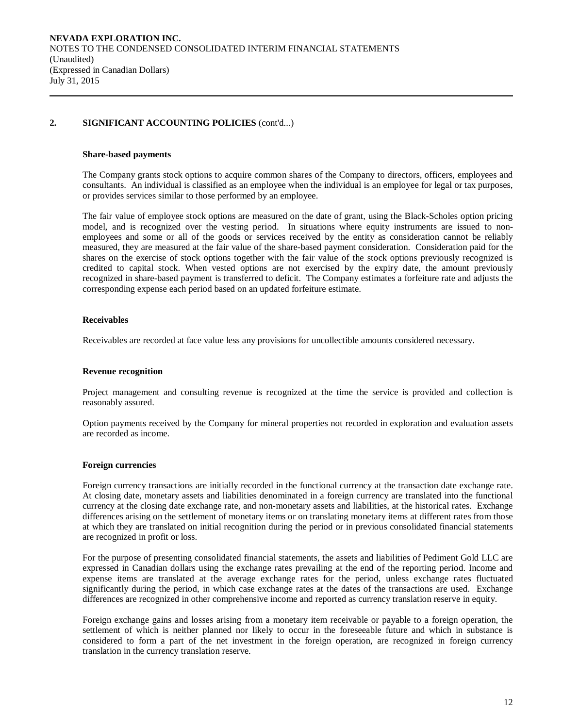#### **Share-based payments**

The Company grants stock options to acquire common shares of the Company to directors, officers, employees and consultants. An individual is classified as an employee when the individual is an employee for legal or tax purposes, or provides services similar to those performed by an employee.

The fair value of employee stock options are measured on the date of grant, using the Black-Scholes option pricing model, and is recognized over the vesting period. In situations where equity instruments are issued to nonemployees and some or all of the goods or services received by the entity as consideration cannot be reliably measured, they are measured at the fair value of the share-based payment consideration. Consideration paid for the shares on the exercise of stock options together with the fair value of the stock options previously recognized is credited to capital stock. When vested options are not exercised by the expiry date, the amount previously recognized in share-based payment is transferred to deficit. The Company estimates a forfeiture rate and adjusts the corresponding expense each period based on an updated forfeiture estimate.

### **Receivables**

Receivables are recorded at face value less any provisions for uncollectible amounts considered necessary.

### **Revenue recognition**

Project management and consulting revenue is recognized at the time the service is provided and collection is reasonably assured.

Option payments received by the Company for mineral properties not recorded in exploration and evaluation assets are recorded as income.

### **Foreign currencies**

Foreign currency transactions are initially recorded in the functional currency at the transaction date exchange rate. At closing date, monetary assets and liabilities denominated in a foreign currency are translated into the functional currency at the closing date exchange rate, and non-monetary assets and liabilities, at the historical rates. Exchange differences arising on the settlement of monetary items or on translating monetary items at different rates from those at which they are translated on initial recognition during the period or in previous consolidated financial statements are recognized in profit or loss.

For the purpose of presenting consolidated financial statements, the assets and liabilities of Pediment Gold LLC are expressed in Canadian dollars using the exchange rates prevailing at the end of the reporting period. Income and expense items are translated at the average exchange rates for the period, unless exchange rates fluctuated significantly during the period, in which case exchange rates at the dates of the transactions are used. Exchange differences are recognized in other comprehensive income and reported as currency translation reserve in equity.

Foreign exchange gains and losses arising from a monetary item receivable or payable to a foreign operation, the settlement of which is neither planned nor likely to occur in the foreseeable future and which in substance is considered to form a part of the net investment in the foreign operation, are recognized in foreign currency translation in the currency translation reserve.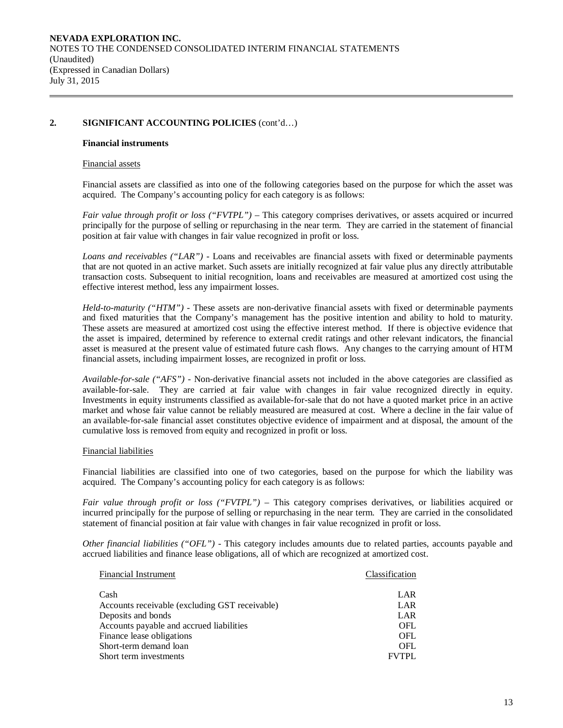#### **Financial instruments**

#### Financial assets

Financial assets are classified as into one of the following categories based on the purpose for which the asset was acquired. The Company's accounting policy for each category is as follows:

*Fair value through profit or loss ("FVTPL")* – This category comprises derivatives, or assets acquired or incurred principally for the purpose of selling or repurchasing in the near term. They are carried in the statement of financial position at fair value with changes in fair value recognized in profit or loss.

*Loans and receivables ("LAR") -* Loans and receivables are financial assets with fixed or determinable payments that are not quoted in an active market. Such assets are initially recognized at fair value plus any directly attributable transaction costs. Subsequent to initial recognition, loans and receivables are measured at amortized cost using the effective interest method, less any impairment losses.

*Held-to-maturity ("HTM") -* These assets are non-derivative financial assets with fixed or determinable payments and fixed maturities that the Company's management has the positive intention and ability to hold to maturity. These assets are measured at amortized cost using the effective interest method. If there is objective evidence that the asset is impaired, determined by reference to external credit ratings and other relevant indicators, the financial asset is measured at the present value of estimated future cash flows. Any changes to the carrying amount of HTM financial assets, including impairment losses, are recognized in profit or loss.

*Available-for-sale ("AFS") -* Non-derivative financial assets not included in the above categories are classified as available-for-sale. They are carried at fair value with changes in fair value recognized directly in equity. Investments in equity instruments classified as available-for-sale that do not have a quoted market price in an active market and whose fair value cannot be reliably measured are measured at cost. Where a decline in the fair value of an available-for-sale financial asset constitutes objective evidence of impairment and at disposal, the amount of the cumulative loss is removed from equity and recognized in profit or loss.

### Financial liabilities

Financial liabilities are classified into one of two categories, based on the purpose for which the liability was acquired. The Company's accounting policy for each category is as follows:

*Fair value through profit or loss ("FVTPL")* – This category comprises derivatives, or liabilities acquired or incurred principally for the purpose of selling or repurchasing in the near term. They are carried in the consolidated statement of financial position at fair value with changes in fair value recognized in profit or loss.

*Other financial liabilities ("OFL") -* This category includes amounts due to related parties, accounts payable and accrued liabilities and finance lease obligations, all of which are recognized at amortized cost.

| <b>Financial Instrument</b>                    | Classification |
|------------------------------------------------|----------------|
|                                                |                |
| Cash                                           | LAR            |
| Accounts receivable (excluding GST receivable) | LAR            |
| Deposits and bonds                             | LAR            |
| Accounts payable and accrued liabilities       | OFL            |
| Finance lease obligations                      | OFL            |
| Short-term demand loan                         | OFL            |
| Short term investments                         | <b>FVTPL</b>   |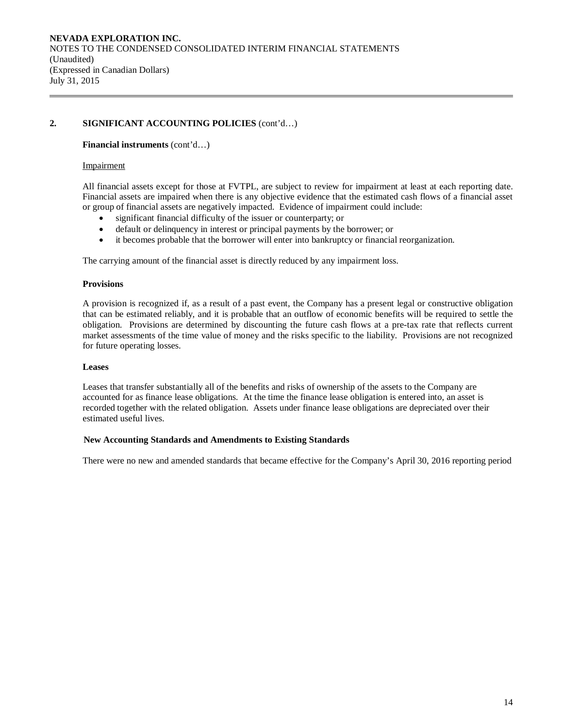### **Financial instruments** (cont'd…)

### Impairment

All financial assets except for those at FVTPL, are subject to review for impairment at least at each reporting date. Financial assets are impaired when there is any objective evidence that the estimated cash flows of a financial asset or group of financial assets are negatively impacted. Evidence of impairment could include:

- significant financial difficulty of the issuer or counterparty; or
- default or delinquency in interest or principal payments by the borrower; or
- it becomes probable that the borrower will enter into bankruptcy or financial reorganization.

The carrying amount of the financial asset is directly reduced by any impairment loss.

### **Provisions**

A provision is recognized if, as a result of a past event, the Company has a present legal or constructive obligation that can be estimated reliably, and it is probable that an outflow of economic benefits will be required to settle the obligation. Provisions are determined by discounting the future cash flows at a pre-tax rate that reflects current market assessments of the time value of money and the risks specific to the liability. Provisions are not recognized for future operating losses.

### **Leases**

Leases that transfer substantially all of the benefits and risks of ownership of the assets to the Company are accounted for as finance lease obligations. At the time the finance lease obligation is entered into, an asset is recorded together with the related obligation. Assets under finance lease obligations are depreciated over their estimated useful lives.

### **New Accounting Standards and Amendments to Existing Standards**

There were no new and amended standards that became effective for the Company's April 30, 2016 reporting period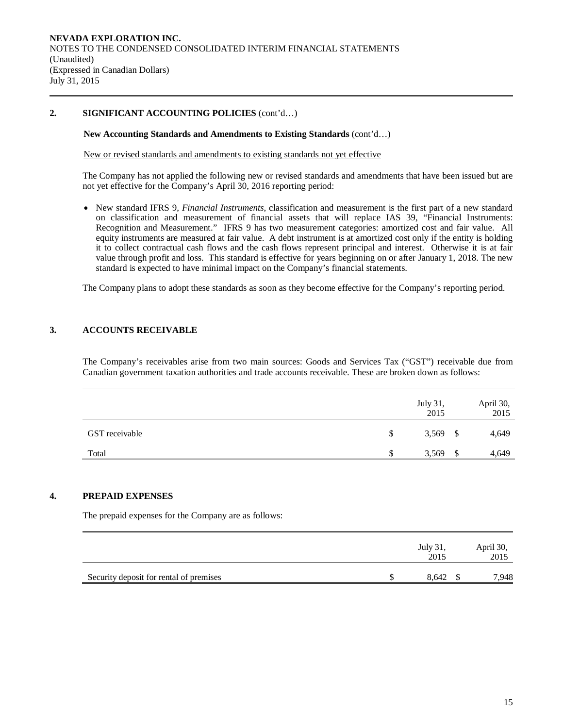### **New Accounting Standards and Amendments to Existing Standards** (cont'd…)

New or revised standards and amendments to existing standards not yet effective

The Company has not applied the following new or revised standards and amendments that have been issued but are not yet effective for the Company's April 30, 2016 reporting period:

• New standard IFRS 9, *Financial Instruments*, classification and measurement is the first part of a new standard on classification and measurement of financial assets that will replace IAS 39, "Financial Instruments: Recognition and Measurement." IFRS 9 has two measurement categories: amortized cost and fair value. All equity instruments are measured at fair value. A debt instrument is at amortized cost only if the entity is holding it to collect contractual cash flows and the cash flows represent principal and interest. Otherwise it is at fair value through profit and loss. This standard is effective for years beginning on or after January 1, 2018. The new standard is expected to have minimal impact on the Company's financial statements.

The Company plans to adopt these standards as soon as they become effective for the Company's reporting period.

### **3. ACCOUNTS RECEIVABLE**

The Company's receivables arise from two main sources: Goods and Services Tax ("GST") receivable due from Canadian government taxation authorities and trade accounts receivable. These are broken down as follows:

|                |   | July 31,<br>2015 |   | April 30,<br>2015 |
|----------------|---|------------------|---|-------------------|
| GST receivable |   | 3,569            |   | 4,649             |
| Total          | S | 3,569            | S | 4,649             |

### **4. PREPAID EXPENSES**

The prepaid expenses for the Company are as follows:

|                                         | July 31.<br>2015 | April 30,<br>2015 |
|-----------------------------------------|------------------|-------------------|
| Security deposit for rental of premises | 8.642            | 7,948             |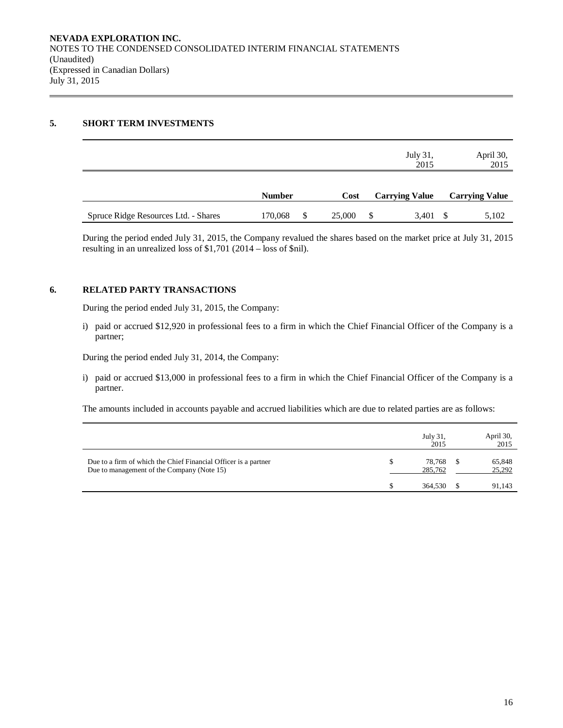# **5. SHORT TERM INVESTMENTS**

|                                      |               |              | July 31,<br>2015      | April 30,<br>2015     |
|--------------------------------------|---------------|--------------|-----------------------|-----------------------|
|                                      | <b>Number</b> | Cost         | <b>Carrying Value</b> | <b>Carrying Value</b> |
| Spruce Ridge Resources Ltd. - Shares | 170,068       | \$<br>25,000 | \$<br>3,401           | 5,102                 |

During the period ended July 31, 2015, the Company revalued the shares based on the market price at July 31, 2015 resulting in an unrealized loss of \$1,701 (2014 – loss of \$nil).

### **6. RELATED PARTY TRANSACTIONS**

During the period ended July 31, 2015, the Company:

i) paid or accrued \$12,920 in professional fees to a firm in which the Chief Financial Officer of the Company is a partner;

During the period ended July 31, 2014, the Company:

i) paid or accrued \$13,000 in professional fees to a firm in which the Chief Financial Officer of the Company is a partner.

The amounts included in accounts payable and accrued liabilities which are due to related parties are as follows:

|                                                                                                               | July 31,<br>2015  | April 30,<br>2015 |
|---------------------------------------------------------------------------------------------------------------|-------------------|-------------------|
| Due to a firm of which the Chief Financial Officer is a partner<br>Due to management of the Company (Note 15) | 78,768<br>285,762 | 65,848<br>25,292  |
|                                                                                                               | 364,530           | 91.143            |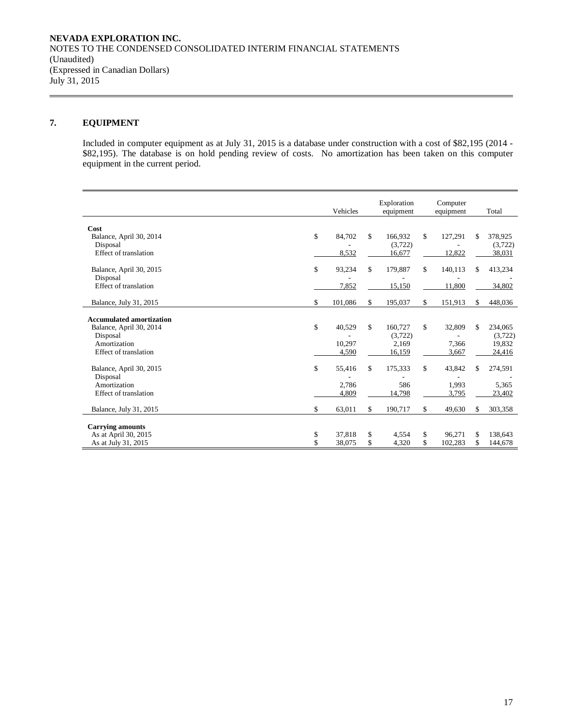# **7. EQUIPMENT**

Included in computer equipment as at July 31, 2015 is a database under construction with a cost of \$82,195 (2014 - \$82,195). The database is on hold pending review of costs. No amortization has been taken on this computer equipment in the current period.

| Vehicles                   |                                                                                               | Exploration<br>equipment   |                                                                                                                       | Computer<br>equipment      |                                                                                                           | Total                      |
|----------------------------|-----------------------------------------------------------------------------------------------|----------------------------|-----------------------------------------------------------------------------------------------------------------------|----------------------------|-----------------------------------------------------------------------------------------------------------|----------------------------|
|                            |                                                                                               |                            |                                                                                                                       |                            |                                                                                                           |                            |
|                            |                                                                                               |                            |                                                                                                                       |                            |                                                                                                           | 378,925                    |
|                            |                                                                                               |                            |                                                                                                                       |                            |                                                                                                           | (3,722)                    |
|                            |                                                                                               |                            |                                                                                                                       |                            |                                                                                                           | 38,031                     |
|                            |                                                                                               |                            |                                                                                                                       |                            |                                                                                                           |                            |
| \$<br>93,234               | \$                                                                                            | 179,887                    | \$                                                                                                                    | 140,113                    | \$                                                                                                        | 413,234                    |
|                            |                                                                                               |                            |                                                                                                                       |                            |                                                                                                           |                            |
| 7,852                      |                                                                                               | 15.150                     |                                                                                                                       | 11.800                     |                                                                                                           | 34,802                     |
|                            |                                                                                               |                            |                                                                                                                       |                            |                                                                                                           |                            |
|                            |                                                                                               |                            |                                                                                                                       |                            |                                                                                                           | 448,036                    |
|                            |                                                                                               |                            |                                                                                                                       |                            |                                                                                                           |                            |
|                            |                                                                                               |                            |                                                                                                                       |                            |                                                                                                           | 234,065                    |
|                            |                                                                                               |                            |                                                                                                                       |                            |                                                                                                           | (3,722)                    |
|                            |                                                                                               |                            |                                                                                                                       |                            |                                                                                                           | 19,832                     |
|                            |                                                                                               |                            |                                                                                                                       |                            |                                                                                                           | 24,416                     |
|                            |                                                                                               |                            |                                                                                                                       |                            |                                                                                                           |                            |
| \$<br>55,416               | \$                                                                                            | 175,333                    | \$                                                                                                                    | 43,842                     | \$                                                                                                        | 274,591                    |
|                            |                                                                                               |                            |                                                                                                                       |                            |                                                                                                           |                            |
|                            |                                                                                               |                            |                                                                                                                       |                            |                                                                                                           | 5,365                      |
|                            |                                                                                               |                            |                                                                                                                       |                            |                                                                                                           | 23,402                     |
|                            |                                                                                               |                            |                                                                                                                       |                            |                                                                                                           |                            |
|                            |                                                                                               |                            |                                                                                                                       |                            |                                                                                                           | 303,358                    |
|                            |                                                                                               |                            |                                                                                                                       |                            |                                                                                                           |                            |
|                            |                                                                                               |                            |                                                                                                                       |                            |                                                                                                           | 138,643                    |
| \$<br>38,075               | \$                                                                                            | 4,320                      | \$                                                                                                                    |                            | \$                                                                                                        | 144,678                    |
| \$<br>\$<br>\$<br>\$<br>\$ | 84,702<br>8,532<br>101,086<br>40,529<br>10,297<br>4,590<br>2.786<br>4,809<br>63,011<br>37,818 | \$<br>\$<br>\$<br>\$<br>\$ | 166,932<br>(3,722)<br>16,677<br>195,037<br>160,727<br>(3,722)<br>2,169<br>16,159<br>586<br>14,798<br>190,717<br>4,554 | \$<br>\$<br>\$<br>\$<br>\$ | 127,291<br>12,822<br>151,913<br>32,809<br>7,366<br>3,667<br>1,993<br>3,795<br>49,630<br>96,271<br>102,283 | \$<br>\$<br>\$<br>\$<br>S. |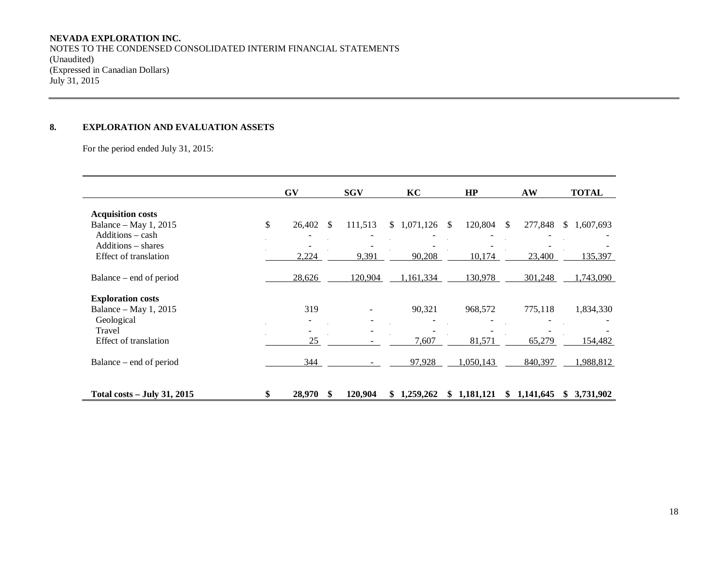# **NEVADA EXPLORATION INC.**

NOTES TO THE CONDENSED CONSOLIDATED INTERIM FINANCIAL STATEMENTS (Unaudited) (Expressed in Canadian Dollars) July 31, 2015

# **8. EXPLORATION AND EVALUATION ASSETS**

For the period ended July 31, 2015:

|                                             | <b>GV</b>    |     | <b>SGV</b> |   | KC          |    | HP        |               | AW        |              | <b>TOTAL</b> |
|---------------------------------------------|--------------|-----|------------|---|-------------|----|-----------|---------------|-----------|--------------|--------------|
| <b>Acquisition costs</b>                    |              |     |            |   |             |    |           |               |           |              |              |
| Balance - May 1, 2015<br>$Additions - cash$ | \$<br>26,402 | -S  | 111,513    |   | \$1,071,126 | -S | 120,804   | <sup>\$</sup> | 277,848   | <sup>S</sup> | 1,607,693    |
| Additions – shares                          |              |     |            |   |             |    |           |               |           |              |              |
| Effect of translation                       | 2,224        |     | 9,391      |   | 90,208      |    | 10,174    |               | 23,400    |              | 135,397      |
| Balance – end of period                     | 28,626       |     | 120,904    |   | 1,161,334   |    | 130,978   |               | 301,248   |              | 1,743,090    |
| <b>Exploration costs</b>                    |              |     |            |   |             |    |           |               |           |              |              |
| Balance – May 1, 2015                       | 319          |     |            |   | 90,321      |    | 968,572   |               | 775,118   |              | 1,834,330    |
| Geological<br>Travel                        |              |     |            |   |             |    |           |               |           |              |              |
| Effect of translation                       | 25           |     |            |   | 7,607       |    | 81,571    |               | 65,279    |              | 154,482      |
| Balance – end of period                     | 344          |     |            |   | 97,928      |    | 1,050,143 |               | 840,397   |              | 1,988,812    |
| <b>Total costs – July 31, 2015</b>          | 28,970       | \$. | 120,904    | S | 1,259,262   | S. | 1,181,121 | S             | 1,141,645 | SS.          | 3,731,902    |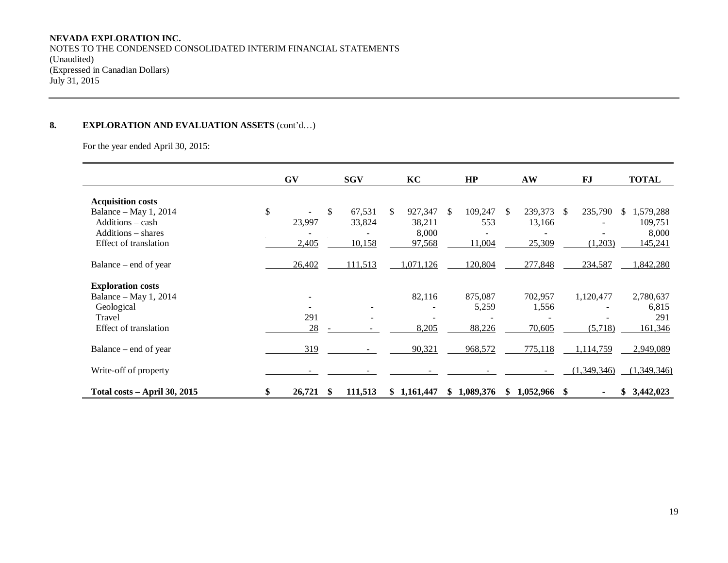# **NEVADA EXPLORATION INC.**

NOTES TO THE CONDENSED CONSOLIDATED INTERIM FINANCIAL STATEMENTS (Unaudited) (Expressed in Canadian Dollars) July 31, 2015

# **8. EXPLORATION AND EVALUATION ASSETS** (cont'd…)

For the year ended April 30, 2015:

|                              | <b>GV</b>    |    | <b>SGV</b> |     | KC          |     | HP        |    | AW             |               | <b>FJ</b>   | <b>TOTAL</b>     |
|------------------------------|--------------|----|------------|-----|-------------|-----|-----------|----|----------------|---------------|-------------|------------------|
| <b>Acquisition costs</b>     |              |    |            |     |             |     |           |    |                |               |             |                  |
| Balance – May 1, 2014        | \$<br>$\sim$ | \$ | 67,531     | \$. | 927,347     | \$. | 109,247   | -S | 239,373        | <sup>\$</sup> | 235,790     | 1,579,288<br>\$. |
| Additions - cash             | 23,997       |    | 33,824     |     | 38,211      |     | 553       |    | 13,166         |               |             | 109,751          |
| Additions – shares           |              |    |            |     | 8,000       |     |           |    |                |               |             | 8,000            |
| Effect of translation        | 2,405        |    | 10,158     |     | 97,568      |     | 11,004    |    | 25,309         |               | (1,203)     | 145,241          |
| Balance – end of year        | 26,402       |    | 111,513    |     | 1,071,126   |     | 120,804   |    | 277,848        |               | 234,587     | 842,280          |
| <b>Exploration costs</b>     |              |    |            |     |             |     |           |    |                |               |             |                  |
| Balance – May 1, 2014        |              |    |            |     | 82,116      |     | 875,087   |    | 702,957        |               | 1,120,477   | 2,780,637        |
| Geological                   |              |    |            |     |             |     | 5,259     |    | 1,556          |               |             | 6,815            |
| Travel                       | 291          |    |            |     |             |     |           |    |                |               |             | 291              |
| Effect of translation        | 28           |    |            |     | 8,205       |     | 88,226    |    | 70,605         |               | (5,718)     | 161,346          |
| Balance – end of year        | 319          |    |            |     | 90,321      |     | 968,572   |    | 775,118        |               | 1,114,759   | 2,949,089        |
| Write-off of property        |              |    |            |     |             |     |           |    |                |               | (1,349,346) | (1,349,346)      |
| Total costs - April 30, 2015 | 26,721       | S  | 111,513    |     | \$1,161,447 | \$  | 1,089,376 | S  | $1,052,966$ \$ |               |             | 3,442,023<br>SS. |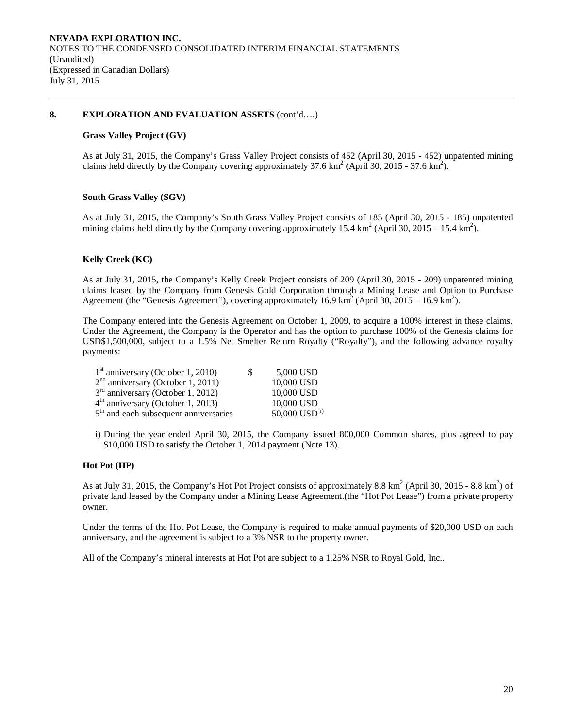### **8. EXPLORATION AND EVALUATION ASSETS** (cont'd….)

### **Grass Valley Project (GV)**

As at July 31, 2015, the Company's Grass Valley Project consists of 452 (April 30, 2015 - 452) unpatented mining claims held directly by the Company covering approximately  $37.6 \text{ km}^2$  (April 30, 2015 - 37.6 km<sup>2</sup>).

### **South Grass Valley (SGV)**

As at July 31, 2015, the Company's South Grass Valley Project consists of 185 (April 30, 2015 - 185) unpatented mining claims held directly by the Company covering approximately 15.4 km<sup>2</sup> (April 30, 2015 – 15.4 km<sup>2</sup>).

### **Kelly Creek (KC)**

As at July 31, 2015, the Company's Kelly Creek Project consists of 209 (April 30, 2015 - 209) unpatented mining claims leased by the Company from Genesis Gold Corporation through a Mining Lease and Option to Purchase Agreement (the "Genesis Agreement"), covering approximately 16.9 km<sup>2</sup> (April 30, 2015 – 16.9 km<sup>2</sup>).

The Company entered into the Genesis Agreement on October 1, 2009, to acquire a 100% interest in these claims. Under the Agreement, the Company is the Operator and has the option to purchase 100% of the Genesis claims for USD\$1,500,000, subject to a 1.5% Net Smelter Return Royalty ("Royalty"), and the following advance royalty payments:

| $1st$ anniversary (October 1, 2010)               | S | 5,000 USD         |
|---------------------------------------------------|---|-------------------|
| $2nd$ anniversary (October 1, 2011)               |   | 10,000 USD        |
| $3rd$ anniversary (October 1, 2012)               |   | 10,000 USD        |
| $4th$ anniversary (October 1, 2013)               |   | 10,000 USD        |
| 5 <sup>th</sup> and each subsequent anniversaries |   | 50,000 USD $^{i}$ |

i) During the year ended April 30, 2015, the Company issued 800,000 Common shares, plus agreed to pay \$10,000 USD to satisfy the October 1, 2014 payment (Note 13).

### **Hot Pot (HP)**

As at July 31, 2015, the Company's Hot Pot Project consists of approximately 8.8 km<sup>2</sup> (April 30, 2015 - 8.8 km<sup>2</sup>) of private land leased by the Company under a Mining Lease Agreement.(the "Hot Pot Lease") from a private property owner.

Under the terms of the Hot Pot Lease, the Company is required to make annual payments of \$20,000 USD on each anniversary, and the agreement is subject to a 3% NSR to the property owner.

All of the Company's mineral interests at Hot Pot are subject to a 1.25% NSR to Royal Gold, Inc..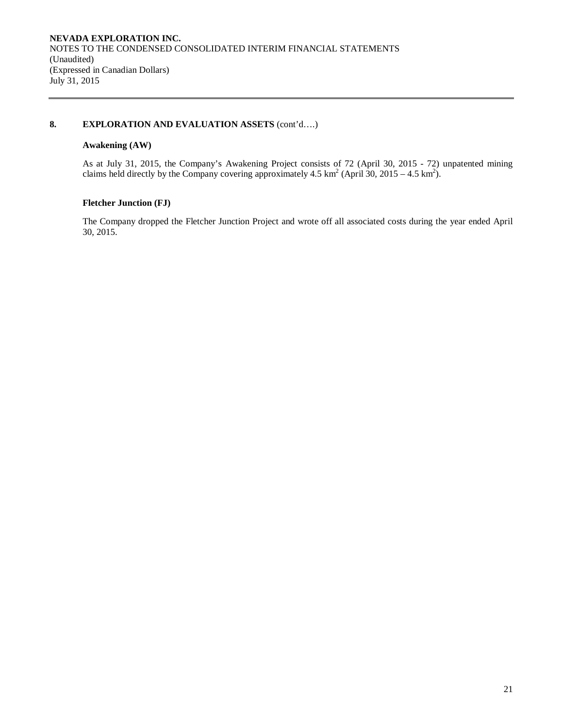### **8. EXPLORATION AND EVALUATION ASSETS** (cont'd….)

# **Awakening (AW)**

As at July 31, 2015, the Company's Awakening Project consists of 72 (April 30, 2015 - 72) unpatented mining claims held directly by the Company covering approximately 4.5 km<sup>2</sup> (April 30, 2015 – 4.5 km<sup>2</sup>).

# **Fletcher Junction (FJ)**

The Company dropped the Fletcher Junction Project and wrote off all associated costs during the year ended April 30, 2015.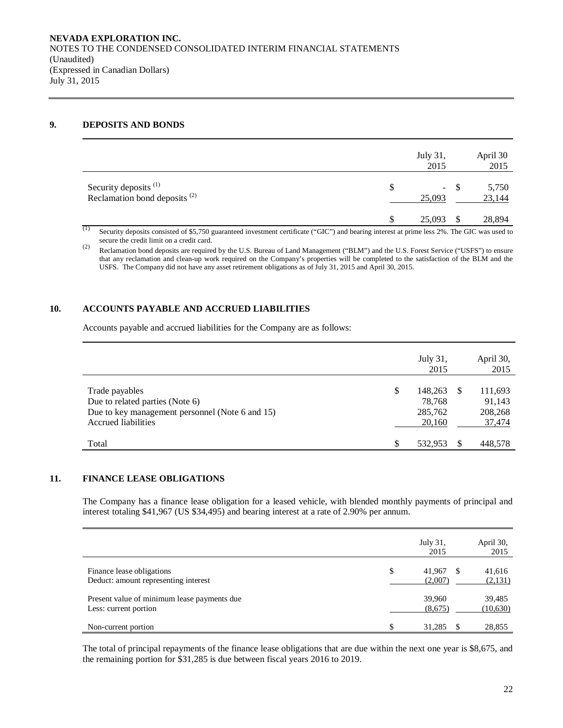### **9. DEPOSITS AND BONDS**

|                                                            |     | July 31,<br>2015 |       | April 30<br>2015 |
|------------------------------------------------------------|-----|------------------|-------|------------------|
| Security deposits $(1)$<br>Reclamation bond deposits $(2)$ | \$. | 25,093           | $- S$ | 5,750<br>23,144  |
| $\alpha$                                                   |     | 25,093           |       | 28,894           |

(1) Security deposits consisted of \$5,750 guaranteed investment certificate ("GIC") and bearing interest at prime less 2%. The GIC was used to secure the credit limit on a credit card.

(2) Reclamation bond deposits are required by the U.S. Bureau of Land Management ("BLM") and the U.S. Forest Service ("USFS") to ensure that any reclamation and clean-up work required on the Company's properties will be completed to the satisfaction of the BLM and the USFS. The Company did not have any asset retirement obligations as of July 31, 2015 and April 30, 2015.

# **10. ACCOUNTS PAYABLE AND ACCRUED LIABILITIES**

Accounts payable and accrued liabilities for the Company are as follows:

|                                                                                                                             | July 31,<br>2015                             |     | April 30,<br>2015                      |
|-----------------------------------------------------------------------------------------------------------------------------|----------------------------------------------|-----|----------------------------------------|
| Trade payables<br>Due to related parties (Note 6)<br>Due to key management personnel (Note 6 and 15)<br>Accrued liabilities | \$<br>148.263<br>78.768<br>285,762<br>20,160 | \$. | 111,693<br>91,143<br>208,268<br>37,474 |
| Total                                                                                                                       | \$<br>532.953                                |     | 448.578                                |

# **11. FINANCE LEASE OBLIGATIONS**

The Company has a finance lease obligation for a leased vehicle, with blended monthly payments of principal and interest totaling \$41,967 (US \$34,495) and bearing interest at a rate of 2.90% per annum.

|                                                                      |    | July 31,<br>2015  |    | April 30,<br>2015  |
|----------------------------------------------------------------------|----|-------------------|----|--------------------|
| Finance lease obligations<br>Deduct: amount representing interest    | \$ | 41,967<br>(2,007) | -S | 41,616<br>(2,131)  |
| Present value of minimum lease payments due<br>Less: current portion |    | 39,960<br>(8,675) |    | 39,485<br>(10,630) |
| Non-current portion                                                  | S  | 31,285            |    | 28,855             |

The total of principal repayments of the finance lease obligations that are due within the next one year is \$8,675, and the remaining portion for \$31,285 is due between fiscal years 2016 to 2019.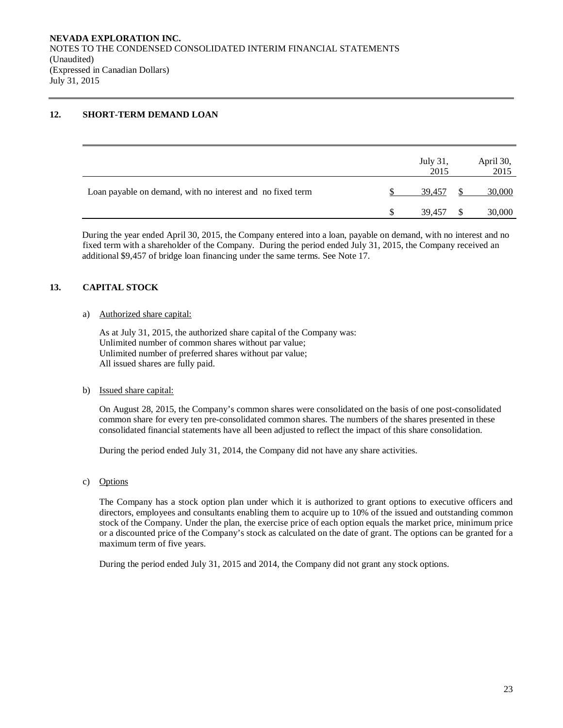# **12. SHORT-TERM DEMAND LOAN**

|                                                            |   | July 31,<br>2015 |     | April 30,<br>2015 |
|------------------------------------------------------------|---|------------------|-----|-------------------|
| Loan payable on demand, with no interest and no fixed term |   | 39.457           |     | 30,000            |
|                                                            | S | 39.457           | \$. | 30,000            |

During the year ended April 30, 2015, the Company entered into a loan, payable on demand, with no interest and no fixed term with a shareholder of the Company. During the period ended July 31, 2015, the Company received an additional \$9,457 of bridge loan financing under the same terms. See Note 17.

# **13. CAPITAL STOCK**

### a) Authorized share capital:

As at July 31, 2015, the authorized share capital of the Company was: Unlimited number of common shares without par value; Unlimited number of preferred shares without par value; All issued shares are fully paid.

### b) Issued share capital:

On August 28, 2015, the Company's common shares were consolidated on the basis of one post-consolidated common share for every ten pre-consolidated common shares. The numbers of the shares presented in these consolidated financial statements have all been adjusted to reflect the impact of this share consolidation.

During the period ended July 31, 2014, the Company did not have any share activities.

c) Options

The Company has a stock option plan under which it is authorized to grant options to executive officers and directors, employees and consultants enabling them to acquire up to 10% of the issued and outstanding common stock of the Company. Under the plan, the exercise price of each option equals the market price, minimum price or a discounted price of the Company's stock as calculated on the date of grant. The options can be granted for a maximum term of five years.

During the period ended July 31, 2015 and 2014, the Company did not grant any stock options.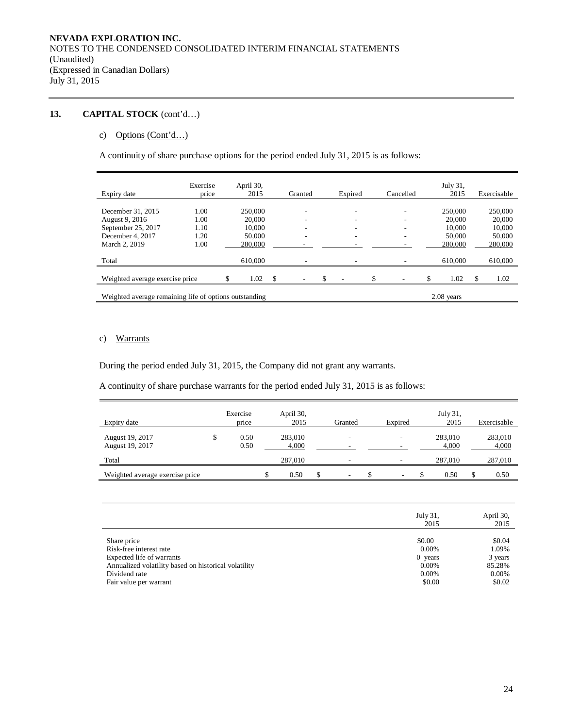# **13. CAPITAL STOCK** (cont'd…)

### c) Options (Cont'd…)

A continuity of share purchase options for the period ended July 31, 2015 is as follows:

| Expiry date                                               | Exercise<br>price    | April 30,<br>2015           |     | Granted                       | Expired     | Cancelled | July $31$ ,<br>2015         |     | Exercisable                 |
|-----------------------------------------------------------|----------------------|-----------------------------|-----|-------------------------------|-------------|-----------|-----------------------------|-----|-----------------------------|
| December 31, 2015<br>August 9, 2016<br>September 25, 2017 | 1.00<br>1.00<br>1.10 | 250,000<br>20,000<br>10.000 |     | $\overline{\phantom{a}}$<br>۰ | ۰<br>-<br>۰ | ۰         | 250,000<br>20,000<br>10.000 |     | 250,000<br>20,000<br>10,000 |
| December 4, 2017<br>March 2, 2019                         | 1.20<br>1.00         | 50,000<br>280,000           |     | ۰                             |             |           | 50,000<br>280,000           |     | 50,000<br>280,000           |
| Total                                                     |                      | 610,000                     |     |                               |             |           | 610,000                     |     | 610,000                     |
| Weighted average exercise price                           |                      | 1.02<br>\$                  | -\$ | -                             | \$          | \$<br>٠   | \$<br>1.02                  | \$. | 1.02                        |
| Weighted average remaining life of options outstanding    |                      |                             |     |                               |             |           | $2.08$ years                |     |                             |

# c) Warrants

During the period ended July 31, 2015, the Company did not grant any warrants.

A continuity of share purchase warrants for the period ended July 31, 2015 is as follows:

| Expiry date                        | Exercise<br>price  | April 30,<br>2015 | Granted                  | Expired                  | July 31,<br>2015 | Exercisable      |
|------------------------------------|--------------------|-------------------|--------------------------|--------------------------|------------------|------------------|
| August 19, 2017<br>August 19, 2017 | \$<br>0.50<br>0.50 | 283,010<br>4,000  | -                        |                          | 283,010<br>4,000 | 283,010<br>4,000 |
| Total                              |                    | 287,010           |                          |                          | 287,010          | 287,010          |
| Weighted average exercise price    |                    | 0.50              | $\overline{\phantom{a}}$ | $\overline{\phantom{a}}$ | 0.50             | 0.50             |

|                                                      | July 31,<br>2015 | April 30,<br>2015 |
|------------------------------------------------------|------------------|-------------------|
| Share price                                          | \$0.00           | \$0.04            |
| Risk-free interest rate                              | $0.00\%$         | 1.09%             |
| Expected life of warrants                            | $0$ years        | 3 years           |
| Annualized volatility based on historical volatility | $0.00\%$         | 85.28%            |
| Dividend rate                                        | $0.00\%$         | $0.00\%$          |
| Fair value per warrant                               | \$0.00           | \$0.02            |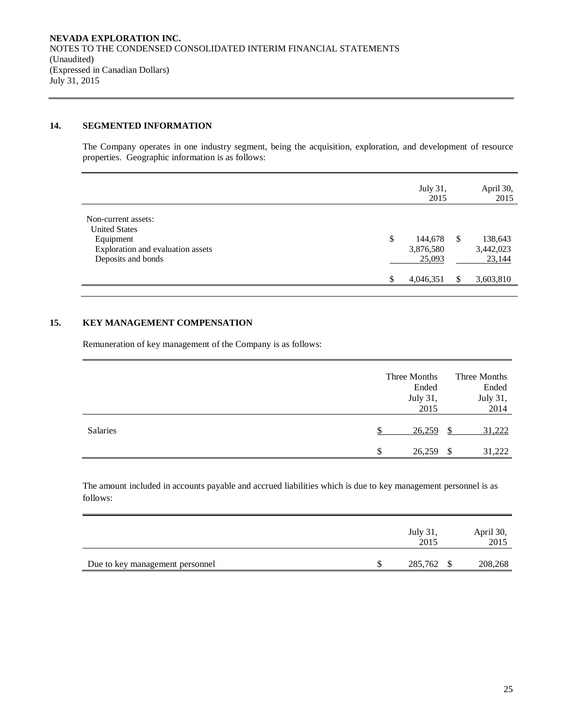# **14. SEGMENTED INFORMATION**

The Company operates in one industry segment, being the acquisition, exploration, and development of resource properties. Geographic information is as follows:

|                                                                                                                     |    | July 31,<br>2015               |    | April 30,<br>2015              |
|---------------------------------------------------------------------------------------------------------------------|----|--------------------------------|----|--------------------------------|
| Non-current assets:<br><b>United States</b><br>Equipment<br>Exploration and evaluation assets<br>Deposits and bonds | \$ | 144,678<br>3,876,580<br>25,093 | -S | 138,643<br>3,442,023<br>23,144 |
|                                                                                                                     | S  | 4,046,351                      |    | 3,603,810                      |

### **15. KEY MANAGEMENT COMPENSATION**

Remuneration of key management of the Company is as follows:

|          |     | Three Months |      | Three Months |
|----------|-----|--------------|------|--------------|
|          |     | Ended        |      | Ended        |
|          |     | July 31,     |      | July 31,     |
|          |     | 2015         |      | 2014         |
| Salaries |     | 26,259       |      | 31,222       |
|          | \$. | 26,259       | - \$ | 31,222       |

The amount included in accounts payable and accrued liabilities which is due to key management personnel is as follows:

|                                 | July 31,<br>2015 | April 30,<br>2015 |
|---------------------------------|------------------|-------------------|
| Due to key management personnel | 285,762<br>S     | 208,268           |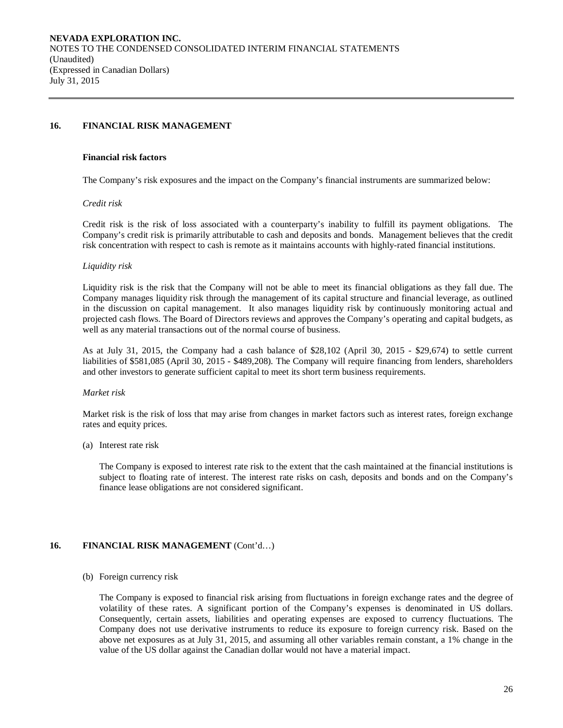### **16. FINANCIAL RISK MANAGEMENT**

#### **Financial risk factors**

The Company's risk exposures and the impact on the Company's financial instruments are summarized below:

### *Credit risk*

Credit risk is the risk of loss associated with a counterparty's inability to fulfill its payment obligations. The Company's credit risk is primarily attributable to cash and deposits and bonds. Management believes that the credit risk concentration with respect to cash is remote as it maintains accounts with highly-rated financial institutions.

#### *Liquidity risk*

Liquidity risk is the risk that the Company will not be able to meet its financial obligations as they fall due. The Company manages liquidity risk through the management of its capital structure and financial leverage, as outlined in the discussion on capital management. It also manages liquidity risk by continuously monitoring actual and projected cash flows. The Board of Directors reviews and approves the Company's operating and capital budgets, as well as any material transactions out of the normal course of business.

As at July 31, 2015, the Company had a cash balance of \$28,102 (April 30, 2015 - \$29,674) to settle current liabilities of \$581,085 (April 30, 2015 - \$489,208). The Company will require financing from lenders, shareholders and other investors to generate sufficient capital to meet its short term business requirements.

### *Market risk*

Market risk is the risk of loss that may arise from changes in market factors such as interest rates, foreign exchange rates and equity prices.

(a) Interest rate risk

The Company is exposed to interest rate risk to the extent that the cash maintained at the financial institutions is subject to floating rate of interest. The interest rate risks on cash, deposits and bonds and on the Company's finance lease obligations are not considered significant.

### **16. FINANCIAL RISK MANAGEMENT** (Cont'd…)

### (b) Foreign currency risk

The Company is exposed to financial risk arising from fluctuations in foreign exchange rates and the degree of volatility of these rates. A significant portion of the Company's expenses is denominated in US dollars. Consequently, certain assets, liabilities and operating expenses are exposed to currency fluctuations. The Company does not use derivative instruments to reduce its exposure to foreign currency risk. Based on the above net exposures as at July 31, 2015, and assuming all other variables remain constant, a 1% change in the value of the US dollar against the Canadian dollar would not have a material impact.